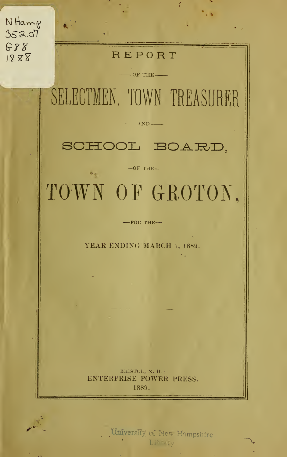

University of New Hampshire Library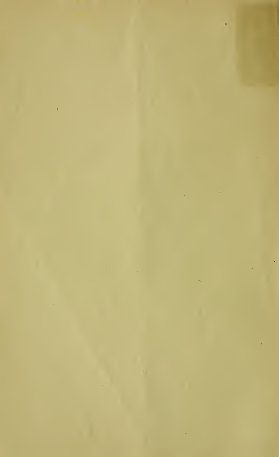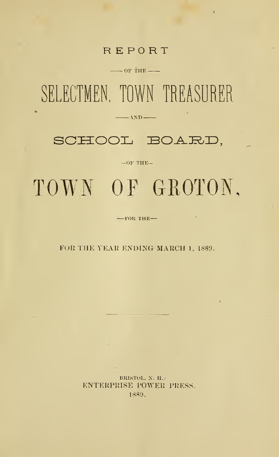## REPORT

 $-$  OF THE  $-$ 

# SELECTMEN, TOWN TREASURER

## school board.

 $\longrightarrow$   $\Lambda \text{ND}$   $\longrightarrow$ 

b.

#### —OF THE—

TOWN OF GROTON,

#### $-$ FOR THE $-$

FOR THE YEAR ENDING MARCH 1, 1889.

BRISTOL, N. H.: ENTERPRISE POWER PRESS. 1889.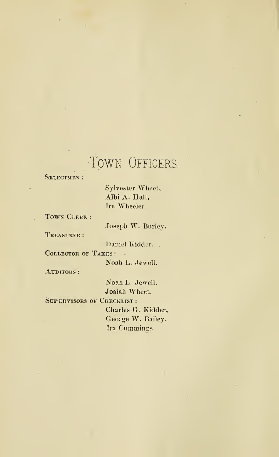## Town Officers.

Selectmen :

Sylvester Wheet, Albi A. Hall, Ira Wheeler.

Town Clerk :

Joseph W. Burley.

TREASURER

Daniel Kidder.

COLLECTOR OF TAXES : -

Noah L. Jewell.

AUDITORS:

Noah L. Jewell, Josiab Wheet.

SUPERVISORS OF CHECKLIST:

Charles G. Kidder, George W. Bailey, Ira Cummings.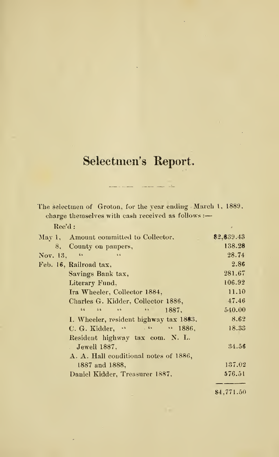## Selectmen's Report.

| The selectmen of Groton, for the year ending $March 1, 1889$ . |  |
|----------------------------------------------------------------|--|
| charge themselves with cash received as follows :-             |  |

| $\mathrm{Re} \mathrm{c}'\mathrm{d}$ : |  |
|---------------------------------------|--|
|---------------------------------------|--|

|          | May 1, Amount committed to Collector.                             | 82,839.43 |
|----------|-------------------------------------------------------------------|-----------|
|          | 8, County on paupers,                                             | 138.28    |
| Nov. 13. | $-66$                                                             | 28.74     |
|          | Feb. 16. Railroad tax,                                            | 2.86      |
|          | Savings Bank tax,                                                 | 281.67    |
|          | Literary Fund,                                                    | 106.92    |
|          | Ira Wheeler, Collector 1884,                                      | 11.10     |
|          | Charles G. Kidder, Collector 1886,                                | 47.46     |
|          | $\sim$ 100 $\pm$ 60 $\pm$<br>66<br>$\mathbf{5}$ &<br>6.4<br>1887. | 540.00    |
|          | I. Wheeler, resident highway tax 1883,                            | 8.62      |
|          | C. G. Kidder,    1886,                                            | 18.33     |
|          | Resident highway tax com. N. L.                                   |           |
|          | Jewell 1887.                                                      | 34.56     |
|          | A. A. Hall conditional notes of 1886,                             |           |
|          | 1887 and 1888,                                                    | 137.02    |
|          | Daniel Kidder, Treasurer 1887,                                    | 576.51    |
|          |                                                                   |           |

\$4,771.50

 $\overline{a}$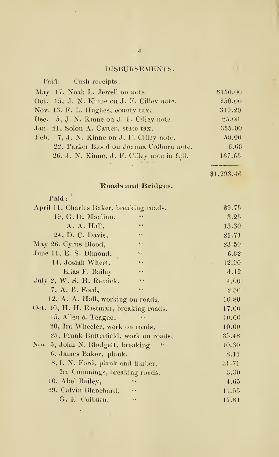#### DISBURSEMENTS.

| Paid. Cash receipts:                        |          |
|---------------------------------------------|----------|
| May 17, Noah L. Jewell on note.             | \$150.00 |
| Oct. 15, J. N. Kinne on J. F. Cilley note.  | 250.00   |
| Nov. 13, F. L. Hughes, county tax,          | 319.20   |
| Dec. 5, J. N. Kinne on J. F. Cilley note.   | 25.00    |
| Jan. 21, Solon A. Carter, state tax,        | 355.00   |
| Feb. 7, J. N. Kinne on J. F. Cilley note.   | 50.00    |
| 22, Parker Blood on Joanna Colburn note.    | 6.63     |
| 26, J. N. Kinne, J. F. Cilley note in full. | 137.63   |
| 医心室 化二氯化物 计数据                               |          |
|                                             |          |

\$1,293.46

#### Roads and Bridges.

| Paid :                                      |        |
|---------------------------------------------|--------|
| April 11, Charles Baker, breaking roads.    | \$9.75 |
| 19, G. D. Maclinn,<br>64                    | 3.25   |
| A. A. Hall,<br>$\mathbf{L} \in$             | 13.30  |
| 24, D. C. Davis,<br>$\mathbf{k}$ is         | 21.71  |
| May 26, Cyrus Blood,<br>$\epsilon$ .        | 23.50  |
| June 11, E. S. Dimond,<br>G.G               | 6.32   |
| 14, Josiah Wheet,<br>$6-6$                  | 12.90  |
| Elias F. Bailey<br>$\overline{\phantom{a}}$ | 4.12   |
| July 2, W. S. H. Remick,<br>$\sim 4$        | 4.00   |
| 7, A. B. Ford,<br>$\overline{\mathbf{r}}$   | 2.50   |
| 12, A. A. Hall, working on roads.           | 10.80  |
| Oct. 10, H. H. Eastman, breaking roads,     | 17.00  |
| 15, Allen & Teague,                         | 10.00  |
| 20, Ira Wheeler, work on roads,             | 10.00  |
| 25, Frank Butterfield, work on roads,       | 35.48  |
| Nov. 5, John N. Blodgett, breaking          | 10.30  |
| 6. James Baker, plank.                      | 8.11   |
| 8, I. N. Ford, plank and timber,            | 31.71  |
| Ira Cummings, breaking roads.               | 3.30   |
| 10, Abel Bailey,<br>6 <sub>0</sub>          | 4.65   |
| 29, Calvin Blanchard,<br>$-4.4$             | 11.55  |
| G. E. Colburn,<br>$\epsilon$ .              | 17.84  |

l,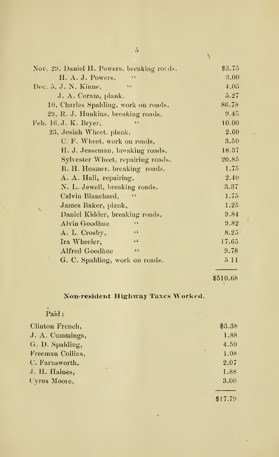| Nov. 29, Daniel H. Powers, breaking roads.        | \$3.75 |
|---------------------------------------------------|--------|
| H. A. J. Powers,                                  | 3.00   |
| Dec. 5, J. N. Kinne,<br>$\mathbf{L}$ $\mathbf{L}$ | 4.05   |
| J. A. Coram, plank.                               | 5.27   |
| 10, Charles Spalding, work on roads.              | 86.78  |
| 29, R. J. Hunkins, breaking roads.                | 9.45   |
| Feb. 16, J. K. Bryer,<br>66                       | 10.00  |
| 23, Josiah Wheet, plank,                          | 2.60.  |
| C. F. Wheet, work on roads,                       | 3.50   |
| H. J. Jesseman, breaking roads,                   | 18.37  |
| Sylvester Wheet, repairing roads.                 | 20.85  |
| B. H. Hesmer. breaking roads.                     | 1.75   |
| A. A. Hall, repairing,                            | 2.40   |
| N. L. Jewell, breaking roads.                     | 3.37   |
| Calvin Blanchard,                                 | 1.75   |
| James Baker, plank,                               | 1.25   |
| Daniel Kidder, breaking roads,                    | 9.84   |
| Alvin Goodhue<br>44                               | 9.82   |
| A. L. Crosby,<br>$\frac{1}{2}$ .                  | 8.25   |
| Ira Wheeler,<br>66                                | 17.65  |
| Alfred Goodhue<br>$\downarrow$ $\downarrow$       | 9.78   |
| G. C. Spalding, work on roads.                    | 5 1 1  |
|                                                   |        |

\$510.68

 $\overline{\mathbf{A}}$ 

### Non-resident Highway Taxes Worked.

 $\overset{+}{\mathbf{p}}_{\mathbf{a}}$ id .

| \$3.38                    |
|---------------------------|
| 1.88                      |
| 4.50                      |
| <b>Controller</b><br>1.08 |
| 2.07                      |
| 1.88                      |
| 3.00                      |
| \$17.79                   |
|                           |

 $5^{\circ}$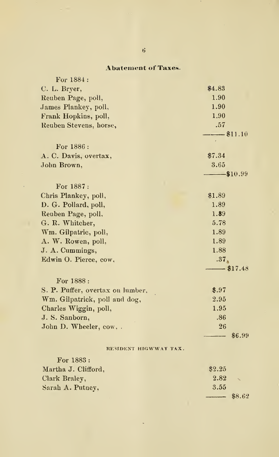#### Abatement of Taxes.

| For 1884 :                       |                      |
|----------------------------------|----------------------|
| C. L. Bryer,                     | \$4.83               |
| Reuben Page, poll,               | 1.90                 |
| James Plankey, poll,             | 1.90                 |
| Frank Hopkins, poll,             | 1.90                 |
| Reuben Stevens, horse,           | .57                  |
|                                  | $-$ \$11.10          |
| For 1886:                        |                      |
| A. C. Davis, overtax,            | \$7.34               |
| John Brown,                      | 3.65                 |
|                                  | $-$ \$10.99          |
| For 1887:                        |                      |
| Chris Plankey, poll,             | \$1.89               |
| D. G. Pollard, poll,             | 1.89                 |
| Reuben Page, poll,               | 1.89                 |
| G. R. Whitcher,                  | 5.78                 |
| Wm. Gilpatric, poll,             | 1.89                 |
| A. W. Rowen, poll,               | 1.89                 |
| J. A. Cummings,                  | 1.88                 |
| Edwin O. Pierce, cow,            | $.37*$               |
|                                  | $-$ \$17.48          |
| For 1888:                        |                      |
| S. P. Puffer, overtax on lumber, | \$.97                |
| Wm. Gilpatrick, poll and dog,    | 2.95                 |
| Charles Wiggin, poll,            | 1.95                 |
| J. S. Sanborn,                   | .86                  |
| John D. Wheeler, cow, .          | 26                   |
|                                  | \$6.99               |
| RESIDENT HIGWWAY TAX.            |                      |
| For 1883:                        |                      |
| Martha J. Clifford,              | \$2.25               |
| Clark Braley,                    | 2.82<br>$\mathbf{v}$ |
| Sarah A. Putney,                 | 3.55                 |
|                                  | \$8.62               |
|                                  |                      |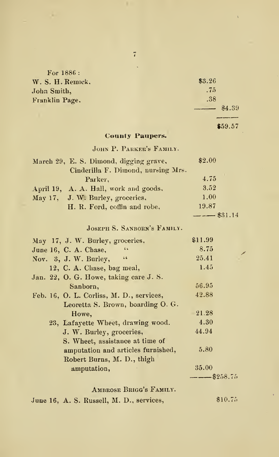| For 1886:                                |                  |
|------------------------------------------|------------------|
| W. S. H. Remick,                         | \$3.26           |
| John Smith,                              | .75              |
| Franklin Page.                           | .38              |
|                                          | 84.39            |
|                                          |                  |
|                                          | \$59.57          |
| <b>County Paupers.</b>                   |                  |
| JOHN P. PARKER'S FAMILY.                 |                  |
| March 29, E. S. Dimond, digging grave,   | \$2.00           |
| Cinderilla F. Dimond, nursing Mrs.       |                  |
| Parker,                                  | 4.75             |
| April 19, A. A. Hall, work and goods,    | 3.52             |
| May 17,<br>J. W. Burley, groceries,      | 1.00             |
| H. R. Ford, coffin and robe,             | 19.87            |
|                                          | $---$ \$31.14    |
| JOSEPH S. SANBORN'S FAMILY.              |                  |
| May 17, J. W. Burley, groceries,         | \$11.99          |
| June 16, C. A. Chase,<br>$\leftarrow$    | 8.75             |
| Nov. 3, J. W. Burley,<br>66              | 25.41            |
| 12, C. A. Chase, bag meal,               | 1.45             |
| Jan. 22, O. G. Howe, taking care J. S.   |                  |
| Sanborn,                                 | 56.95            |
| Feb. 16, O. L. Corliss, M. D., services, | 42.88            |
| Leoretta S. Brown, boarding O. G.        |                  |
| Howe,                                    | 21.28            |
| 23, Lafayette Wheet, drawing wood.       | 4.30             |
| J. W. Burley, groceries,                 | 44.94            |
| S. Wheet, assistance at time of          |                  |
| amputation and articles furnished,       | 5.80             |
| Robert Burns, M. D., thigh               |                  |
| amputation,                              | 35.00            |
|                                          | --------\$258.75 |
| AMBROSE BRIGG'S FAMILY.                  |                  |
| June 16, A. S. Russell, M. D., services, | \$10.75          |

 $\overline{i}$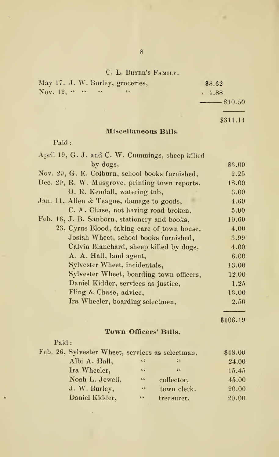#### C. L. BRYER'S FAMILY.

| May 17. J. W. Burley, groceries, | \$8.62      |
|----------------------------------|-------------|
| Nov. 12, $\cdots$ $\cdots$       | 1.88        |
|                                  | $-$ \$10.50 |
|                                  |             |
|                                  | \$311.14    |

#### Miscellaneous Bills

#### Paid :

| April 19, G. J. and C. W. Cummings, sheep killed |          |
|--------------------------------------------------|----------|
| by dogs,                                         | \$3.00   |
| Nov. 29, G. E. Colburn, school books furnished,  | 2.25     |
| Dec. 29, R. W. Musgrove, printing town reports,  | 18.00    |
| O. R. Kendall, watering tub,                     | 3.00     |
| Jan. 11, Allen & Teague, damage to goods,        | 4.60     |
| C. A. Chase, not having road broken,             | 5.00     |
| Feb. 16, J. B. Sanborn, stationery and books,    | 10.60    |
| 23, Cyrus Blood, taking care of town house,      | 4.00     |
| Josiah Wheet, school books furnished,            | 3.99     |
| Calvin Blanchard, sheep killed by dogs,          | 4.00     |
| A. A. Hall, land agent,                          | 6.00     |
| Sylvester Wheet, incidentals,                    | 13.00    |
| Sylvester Wheet, boarding town officers,         | 12.00    |
| Daniel Kidder, services as justice,              | 1.25     |
| Fling & Chase, advice,                           | 13.00    |
| Ira Wheeler, boarding selectmen,                 | 2.50     |
|                                                  | \$106.19 |

### Town Officers' Bills.

#### Paid :

| Feb. 26, Sylvester Wheet, services as selectman, |    |             | \$48.00 |  |
|--------------------------------------------------|----|-------------|---------|--|
| Albi A. Hall,                                    | 66 | 66          | 24,00   |  |
| Ira Wheeler.                                     | 66 | 66          | 15.45   |  |
| Noah L. Jewell,                                  | 66 | collector,  | 45.00   |  |
| J. W. Burley,                                    | 66 | town clerk, | 20.00   |  |
| Daniel Kidder,                                   | 66 | treasurer,  | 20.00   |  |

٠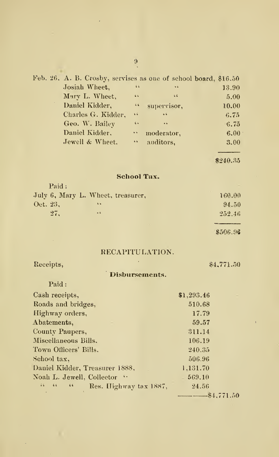| Feb. 26, A. B. Crosby, servises as one of sehool board, \$16.50 |              |                    |              |
|-----------------------------------------------------------------|--------------|--------------------|--------------|
| Josiah Wheet,                                                   | 66           |                    | 13.90        |
| Mary L. Wheet,                                                  | 66           | $\sqrt{6}$         | 5.00         |
| Daniel Kidder,                                                  | $\bar{6}$ &  | supervisor,        | 10.00        |
| Charles G. Kidder,                                              | 66           | ٤٤                 | 6.75         |
| Geo. W. Bailey                                                  | $\leftarrow$ |                    | 6.75         |
| Daniel Kidder,                                                  | 66           | moderator,         | $6.00 \cdot$ |
| Jewell & Wheet.                                                 | k k          | auditors,          | 3.00         |
|                                                                 |              |                    | \$240.35     |
|                                                                 |              | <b>School Tax.</b> |              |
| Paid:                                                           |              |                    |              |
| July 6, Mary L. Wheet, treasurer,                               |              |                    | 160.00       |
| Oct. 23,<br>A.N                                                 |              |                    | 94.50        |
| 27,<br>$\bullet$                                                |              |                    | 252.46       |
|                                                                 |              |                    | \$506.96     |
|                                                                 |              | RECAPITULATION.    |              |
| Receipts,                                                       |              |                    | \$4,771.50   |
|                                                                 |              | Disbursements.     |              |
| Paid:                                                           |              |                    |              |
| Cash receipts,                                                  |              | \$1,293.46         |              |
| Roads and bridges,                                              |              | 510.68             |              |
| Highway orders,                                                 |              | 17.79              |              |
| Abatements,                                                     |              | 59.57              |              |
| County Paupers,                                                 |              | 311.14             |              |
| Miscellaneous Bills.                                            |              | 106.19             |              |
| Town Officers' Bills.                                           |              | 240.35             |              |
| School tax,                                                     |              | 506.96             |              |
| Daniel Kidder, Treasurer 1888,                                  |              | 1,131.70           |              |
| Noah L. Jewell, Collector "                                     |              | 569.10             |              |
| 44<br>66<br>66<br>Res. Highway tax 1887,                        |              | 24.56              |              |
|                                                                 |              |                    |              |

 $--\$ \$4,771.50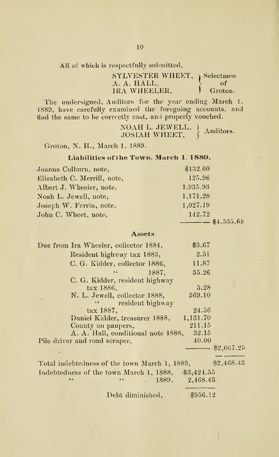All of which is respectfully submitted,

| SYLVESTER WHEET, Selectmen |         |
|----------------------------|---------|
| A. A. HALL.                | Ωť      |
| IRA WHEELER.               | Groton. |

The undersigned, Auditors for the year ending March 1. 1889, have carefully examined the foregoing accounts, and find the same to be correctly cast, and properly vouched.

| NOAH L. JEWELL,<br>JOSIAH WHEET, $\int$ Anditors. |  |
|---------------------------------------------------|--|

Groton, N. H., March 1, 1889.

#### Liabilities of the Town, March 1.1889.

| Joanna Colburn, note,       | \$132.60                 |
|-----------------------------|--------------------------|
| Elizabeth C. Merrill, note, | 125.96                   |
| Albert J. Wheeler, note,    | 1,935.93                 |
| Noah L. Jewell, note,       | 1,171.28                 |
| Joseph W. Ferrin, note,     | 1,027.19                 |
| John C. Wheet, note,        | 142.72                   |
|                             | $\frac{1}{1}$ \$4.535.68 |

#### Assets

| Due from Ira Wheeler, collector 1884,                  | \$3.67   |                  |
|--------------------------------------------------------|----------|------------------|
| Resident highway tax 1883,                             | 2.51     |                  |
| C. G. Kidder, collector 1886,                          | 11.87    |                  |
| $66 - 10$<br>1887,                                     | 35.26    |                  |
| C. G. Kidder, resident highway                         |          |                  |
| tax 1886.                                              | 5.28     |                  |
| N. L. Jewell, collector 1888,                          | 569.10   |                  |
| resident highway<br>66                                 |          |                  |
| tax 1887,                                              | 24.56    |                  |
| Daniel Kidder, treasurer 1888,                         | 1,131.70 |                  |
| County on paupers,                                     | 211.15   |                  |
| A. A. Hall, conditional note 1888,                     | 32.15    |                  |
| Pile driver and road scraper,                          | 40.00    |                  |
|                                                        |          | $  -$ \$2,067.25 |
| Total indebtedness of the town March 1, 1889,          |          | \$2,468.43       |
| Indebtedness of the town March 1, $1888$ , $$3,424.55$ |          |                  |
| 1889,<br>4.4                                           | 2,468.43 |                  |

Debt diminished, \$956.12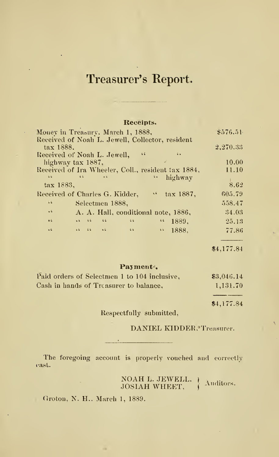## Treasurer's Report.

#### Receipts.

| Money in Treasury. March 1, 1888,                             |                         | \$576.51 |
|---------------------------------------------------------------|-------------------------|----------|
| Received of Noah L. Jewell, Collector, resident               |                         |          |
| tax 1888.                                                     |                         | 2,270.33 |
| Received of Noah L. Jewell,                                   | 66<br>$\epsilon$ .      |          |
| highway tax 1887,                                             |                         | 10.00    |
| Received of Ira Wheeler, Coll., resident tax 1884,            |                         | 11.10    |
| $-1.66$<br>$\sim 10^{-10}$ k $\rm{K}$<br>6.6                  | $\cdots$ highway        |          |
| tax 1883,                                                     |                         | 8.62     |
| Received of Charles G. Kidder,                                | $\frac{1}{2}$ tax 1887, | 605.79   |
| $\frac{1}{2}$<br>Selectmen 1888,                              |                         | 558.47   |
| $\bullet$<br>A. A. Hall, conditional note, 1886,              |                         | 34.03    |
| 66<br>66<br>66<br>66<br>$\mathbf{v}$ is a set of $\mathbf{v}$ | 41889.                  | 25.13    |
| $46 - 66 = -66$<br>46<br>66                                   | 4.1888.                 | 77.86    |

\$4,177.84

#### Payment<sup>.</sup>.

| Paid orders of Selectmen 1 to 104 inclusive. | \$3,046.14 |
|----------------------------------------------|------------|
| Cash in hands of Treasurer to balance.       | 1.131.70   |
|                                              |            |
|                                              | \$4.177.84 |

Respectfully submitted,

DANIEL KIDDER.'Treasurer.

The foregoing account is properly vouched and correctly cast.

**All Controllers** and the control

NOAH L. JEWELL. JOSIAH WHEET,

Groton, N. H.. March 1, 1889.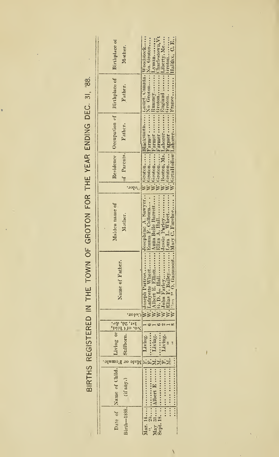BIRTHS REGISTERED IN THE TOWN OF GROTON FOR THE YEAR ENDING DEC. 31, '88.

J.

| Mother.                                                                                                                                           |                                                                                                                                                                                     |
|---------------------------------------------------------------------------------------------------------------------------------------------------|-------------------------------------------------------------------------------------------------------------------------------------------------------------------------------------|
| Father,                                                                                                                                           |                                                                                                                                                                                     |
| Residence   Occupation of   Birthplace of   Birthplace of<br>Father.                                                                              | W. Groton Farmer  No Groton No. Groton<br>$W$ . Groton [Farmer $\cdots\cdots\cdot$ [Kunney $\cdots\cdots\cdots\cdots\cdots$ ]<br>W Groton  Blacksmtth  Laslet. Canada.   Woodstock  |
| of Parents.                                                                                                                                       |                                                                                                                                                                                     |
|                                                                                                                                                   |                                                                                                                                                                                     |
| Maiden name of<br><b>I</b> other                                                                                                                  | $W^{(c_{2,\alpha_1})_2}$ O. Gammont (Mary C. Farehee 1 W. [GrtnHollow Laborer France Halifax, C. E.<br>W. Albert E. Elliott Anna Belle Barrett<br>Lafayette Wheet Emma F. Colburn . |
| Name of Father,                                                                                                                                   |                                                                                                                                                                                     |
|                                                                                                                                                   |                                                                                                                                                                                     |
|                                                                                                                                                   |                                                                                                                                                                                     |
| Stillborn.                                                                                                                                        | Living.<br>Living.                                                                                                                                                                  |
|                                                                                                                                                   |                                                                                                                                                                                     |
| Date of $\left \underset{\kappa}{\text{Name of Child.}}\right  \frac{1}{\kappa}$ Living or $\left \frac{1}{2}\xi\right $<br>Birth-1888. (if any.) | May $31$ Albert E    M.   Living.                                                                                                                                                   |
|                                                                                                                                                   |                                                                                                                                                                                     |

 $\big)$ 

 $\sqrt{2}$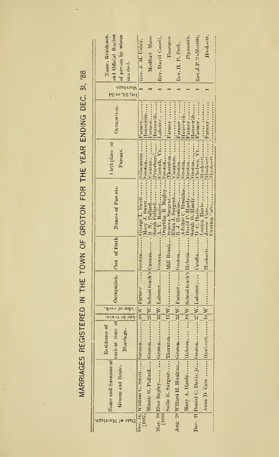MARRIAGES REGISTERED IN THE TOWN OF GROTON FOR THE YEAR ENDING DEC. 31, '88

| Name, Residence,<br>$\begin{vmatrix} 6 & 0 \\ 0 & 0 \\ 0 & 0 \end{vmatrix}$ and Official Station<br>$\begin{vmatrix} 6 & 0 \\ 0 & 0 \end{vmatrix}$ of person by whom | 1 Rev. J. M. Usher, | Medford Mass. | Rev. David Conell,                                 | Thornton | Rev. II. P. Peck,                                                                                                | Plymouth.                                        | Rev.J.P. 0 eMerritt,                                      | Hooksett.                                                                                                                                  |
|----------------------------------------------------------------------------------------------------------------------------------------------------------------------|---------------------|---------------|----------------------------------------------------|----------|------------------------------------------------------------------------------------------------------------------|--------------------------------------------------|-----------------------------------------------------------|--------------------------------------------------------------------------------------------------------------------------------------------|
|                                                                                                                                                                      |                     |               |                                                    |          |                                                                                                                  |                                                  |                                                           |                                                                                                                                            |
| Occupation.                                                                                                                                                          |                     |               |                                                    |          |                                                                                                                  |                                                  |                                                           |                                                                                                                                            |
| i irthplace of<br>Parents.                                                                                                                                           |                     |               |                                                    |          |                                                                                                                  |                                                  |                                                           |                                                                                                                                            |
| Residence of $\begin{vmatrix} \frac{1}{2} & \frac{1}{2} \\ \frac{1}{2} & \frac{1}{2} \end{vmatrix}$ Occupation. Plue of Birth Rames of Parmis,                       |                     |               |                                                    |          |                                                                                                                  | Adeline C. Hunkins (Groton Housewife             | Sarah D. Hardy Groton   Housewife                         | www.communications.communications.com/2014/2014/2015<br>Ama D Cate ……[Hooksett……?!s[W]…………[Hooksett……Jessie Cate…………[Hooksett……[Ramaer ……. |
|                                                                                                                                                                      |                     |               |                                                    |          |                                                                                                                  |                                                  |                                                           |                                                                                                                                            |
|                                                                                                                                                                      |                     |               |                                                    |          |                                                                                                                  |                                                  |                                                           |                                                                                                                                            |
| <u>ni oulo</u><br>o <del>1</del> 010                                                                                                                                 |                     |               |                                                    |          |                                                                                                                  |                                                  |                                                           |                                                                                                                                            |
| Marriage.                                                                                                                                                            |                     |               |                                                    |          |                                                                                                                  |                                                  |                                                           |                                                                                                                                            |
| Name and Surname of<br>Groom and Bride.                                                                                                                              |                     |               | Mar. 19 Eluo Bagley  (Groton 22 W. Laborer (Groton |          | Aug. 29 Willard H. Hunkins., $[\text{Groton.} \dots \dots, 22]$ W. Farmer $\dots, \dots, [\text{Groton.} \dots]$ | Mary A. Hardy Hebron 19 W. School teach'r Hebron | Dec. 21 Daniel C. Davis, jr. (Groton 27 W. Laborer Candia |                                                                                                                                            |
|                                                                                                                                                                      |                     |               |                                                    |          |                                                                                                                  |                                                  |                                                           |                                                                                                                                            |

 $\overline{1}$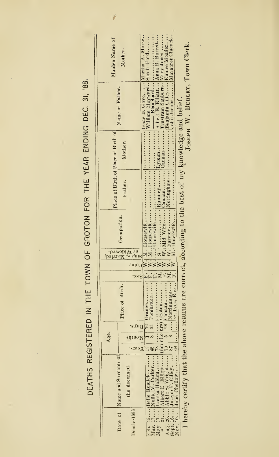DEATHS REGISTERED IN THE TOWN OF GROTON FOR THE YEAR ENDING DEC. 31, '88.

| Maiden Name of<br>lother.                                  |                                                                                                        |
|------------------------------------------------------------|--------------------------------------------------------------------------------------------------------|
| Name of Father.                                            | JOSEPH W. BURLEY, Town Clerk.                                                                          |
| Place of Birth of Place of Birth of<br>Mother.             |                                                                                                        |
| Father.                                                    |                                                                                                        |
| Occupation.                                                |                                                                                                        |
|                                                            |                                                                                                        |
|                                                            |                                                                                                        |
| Place of Birth.                                            |                                                                                                        |
|                                                            |                                                                                                        |
| Days.<br><b>Months</b><br>Age.                             |                                                                                                        |
| Date of Name and Surname of<br>the deceased.<br>Death-1888 | I hereby certify that the above returns are correct, according to the best of my knowledge and belief. |

 $\begin{array}{c} \end{array}$ 

 $\epsilon$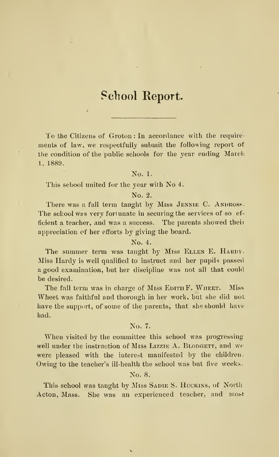## School Report.

To the Citizens of Groton : In accordance with tbe requirements of law, we respectfully submit the following report of the condition of the public schools for the year ending March 1, 1889.

#### No. 1.

This school united for the year with No 4.

#### No. 2.

There was a fall term taught by Miss JENNIE C. ANDROSS. The school was very fortunate in securing the services of so ef ficient a teacher, and was a success. The parents showed their appreciation of her efforts by giving the board.

#### No. 4.

The summer term was taught by Miss ELLEN E. HARDY. Miss Hardy iswell qualified to instruct and her pupils passed a good examination, but her discipline was not all that could be desired.

The fall term was in charge of Miss EDITH F. WHEET. Miss Wheet was faithful and thorough in her work, but she did not have the support, of some of the parents, that she should have had.

#### No. 7.

When visited by the committee this school was progressing well under the instruction of Miss Lizzie A. BLODGETT, and we were pleased with the interest manifested by the children. Owing to the teacher's ill-health the school was but five weeks.

#### No. 8.

This school was taught by Miss SADIE S. HUCKINS, of North Acton, Mass. She was an experienced teacher, and most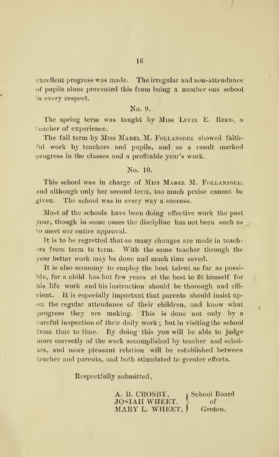excellent progress was made. The irregular and non-attendance of pupils alone prevented this from being a number one school in every respect.

#### No. 9.

The spring term was taught by Miss LUCIE E. REED, a teacher of experience.

The fall term by Miss MABEL M. FOLLANSBEE showed faithful work by teachers and pupils, and as a result marked progress in the classes and a profitable year's work.

#### No. 10.

This school was in charge of Miss MABEL M. FOLLANSBEE, And although only her second term, too much praise cannot be given. The school was in every way a success.

Most of the schools have been doing effective work the past year, though in some cases the discipline has not been such as to meet our entire approval.

It is to be regretted that so many changes are made in teachers from term to term. With the same teacher through the year better work may be done and much time saved.

It is also economy to employ the best talent as far as possible, for a child has but few years at the best to fit himself for his life work and his instruction should be thorough and effi cient. It is especially important that parents should insist up on the regular attendance of their children, and know what progress they are making. This is done not only by a careful inspection of their daily work ; but in visiting the school from time to time. By doing this you will be able to judge more correctly of the work accomplished by teacher and scholars, and more pleasant relation will be established between teacher and parents, and both stimulated to greater efforts.

#### Respectfully submitted

A. B. CROSBY, School Board<br>JOSIAH WHEET. School Board JOSIAH WHEET. \of of MARY L. WHEET, \cdoon.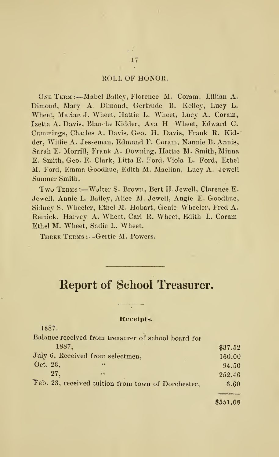#### ROLL OF HONOR.

One Term : —Mabel Bailey, Florence M. Coram, Lillian A. Dimond, Mary A. Dimond, Gertrude B. Kelley, Lucy L. Wheet, Marian J. Wheet, Hattie L. Wheet, Lucy A. Coram, Izetta A. Davis, Blanche Kidder, Ava H Wheet, Edward C. Cuminings, Charles A. Davis, Geo. H. Davis, Frank R. Kidder, Willie A. Jeseeman, Edmund F. Coram, Nannie B. Annis, Sarah E. Morrill, Frank A. Downing. Hattie M. Smith, Minna E. Smith, Geo. E. Clark, Litta E. Ford, Viola L. Ford, Ethel M. Ford, Emma Goodhue, Edith M. Maclinn, Lucy A. Jewell Sumner Smith.

Two Terms ; —Walter S. Brown, Bert H.Jewell, Clarence E. Jewell, Annie L. Bailey, Alice M. Jewell, Angie E. Goodhue, Sidney S. Wheeler, Ethel M. Hobart, Genie Wheeler, Fred A. Remick, Harvey A. Wheet, Carl R. Wheet, Edith L. Coram Ethel M. Wheet, Sadie L. Wheet.

THREE TERMS :- Gertie M. Powers.

## Report of School Treasurer.

#### Receipts.

1887.

Balance received from treasurer of school board for<br>1887

|          | 188%                                               | \$37.52 |
|----------|----------------------------------------------------|---------|
|          | July 6, Received from selectmen,                   | 160.00  |
| Oct. 23. | 66                                                 | 94.50   |
| 27.      | 66                                                 | 252.46  |
|          | Feb. 23, received tuition from town of Dorchester, | 6.60    |

\$551.08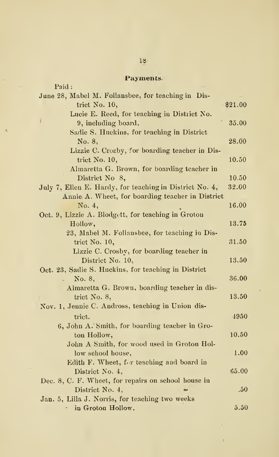#### payments.

 $\mathbf{r}$ 

| Paid :                                                  |         |
|---------------------------------------------------------|---------|
| June 28, Mabel M. Follansbee, for teaching in Dis-      |         |
| trict No. 10,                                           | \$21.00 |
| Lucie E. Reed, for teaching in District No.             |         |
| Á<br>9, including board,                                | 35.00   |
| Sadie S. Huckins, for teaching in District              |         |
| No. 8,                                                  | 28.00   |
| Lizzie C. Crosby, for boarding teacher in Dis-          |         |
| trict No. 10,                                           | 10.50   |
| Almaretta G. Brown, for boarding teacher in             |         |
| District No 8,                                          | 10.50   |
| July 7, Ellen E. Hardy, for teaching in District No. 4, | 32.00   |
| Annie A. Wheet, for boarding teacher in District        |         |
| No. 4,                                                  | 16.00   |
| Oct. 9, Lizzie A. Blodgett, for teaching in Groton      |         |
| Hollow,                                                 | 13.75   |
| 23, Mabel M. Follansbee, for teaching in Dis-           |         |
| trict No. 10,                                           | 31.50   |
| Lizzie C. Crosby, for boarding teacher in               |         |
| District No. 10,                                        | 13.50   |
| Oct. 23, Sadie S. Huckins, for teaching in District     |         |
| No. 8,                                                  | 36.00   |
| Almaretta G. Brown, boarding teacher in dis-            |         |
| trict No. 8,                                            | 13.50   |
| Nov. 1, Jennie C. Andross, teaching in Union dis-       |         |
| trict.                                                  | 4950    |
| 6, John A. Smith, for boarding teacher in Gro-          |         |
| ton Hollow,                                             | 10.50   |
| John A Smith, for wood used in Groton Hol-              |         |
| low school house,                                       | 1.00    |
| Edith F. Wheet, for teaching and board in               |         |
| District No. 4,                                         | 65.00   |
| Dec. 8, C. F. Wheet, for repairs on school house in     |         |
| District No. 4,                                         | .50     |
| Jan. 5, Lilla J. Norris, for teaching two weeks         |         |
| in Groton Hollow,                                       | 5.50    |
|                                                         |         |

ï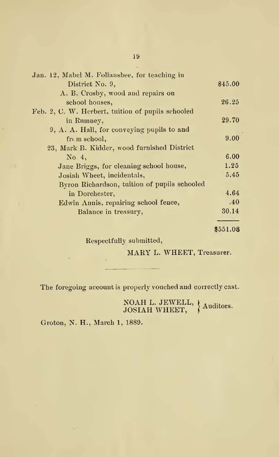| Jan. 12, Mabel M. Follansbee, for teaching in     |          |
|---------------------------------------------------|----------|
| District No. 9,                                   | \$45.00  |
| A. B. Crosby, wood and repairs on                 |          |
| school houses,                                    | 26.25    |
| Feb. 2, C. W. Herbert, tuition of pupils schooled |          |
| in Rumney,                                        | 29.70    |
| 9, A. A. Hall, for conveying pupils to and        |          |
| from school,                                      | 9.00     |
| 23, Mark B. Kidder, wood furnished District       |          |
| No. 4,                                            | 6.00     |
| Jane Briggs, for cleaning school house,           | 1.25     |
| Josiah Wheet, incidentals,                        | 5.45     |
| Byron Richardson, tuition of pupils schooled      |          |
| in Dorchester,                                    | 4.64     |
| Edwin Annis, repairing school fence,              | .40      |
| Balance in treasury,                              | 30.14    |
|                                                   | \$551.08 |

Respectfully submitted,

MARY L. WHEET, Treasurer.

The foregoing account is properly vouched and correctly cast.

NOAH L. JEWELL,  $\}$  Auditors. JOSIAH WHEET,

Groton, N. H., March 1, 1889.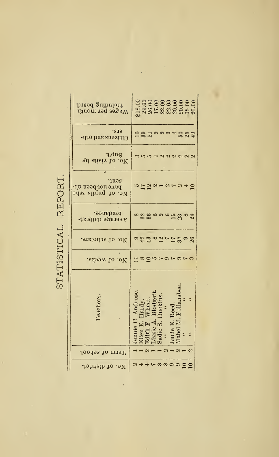| including board.<br>Wages per month            | 88888888<br>มีมีการณ์<br>มีมีการณ์<br>\$18.                  |
|------------------------------------------------|--------------------------------------------------------------|
| ers.<br>$C$ itizens and oth-                   | 53220004834                                                  |
| $\cdot$ <sub>4</sub> , dng<br>Vo. of visits by | $0.000 - 0.00000$                                            |
| sent.<br>рате погрееп ар-<br>odw »liquq to .oV | 5022127240                                                   |
| tendance.<br>Average daily at-                 | <u>စ သ္ထားမွ မွ တွေ့ ထားထား တာ အ</u>                         |
| No. of scholars.                               | 9 程 1 9 9 2 7 1 2 3 9 2 9 2                                  |
| No. of weeks.                                  | adanarana)                                                   |
| eachers                                        | emnie C. And<br>ucie E. Reed<br>ø<br>$\mathbf{F}$<br>Sadie ' |
| .loodos to arisT                               | $-2 - 2 - 3 - 3 - 3$                                         |
| No. of district.                               | 214458899000                                                 |

STATISTICAL REPORT.

 $\frac{1}{2}$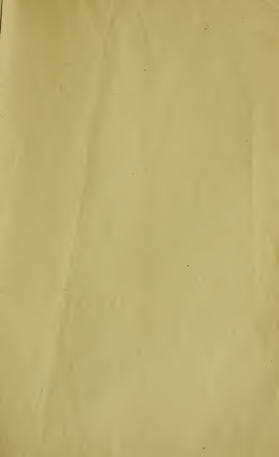